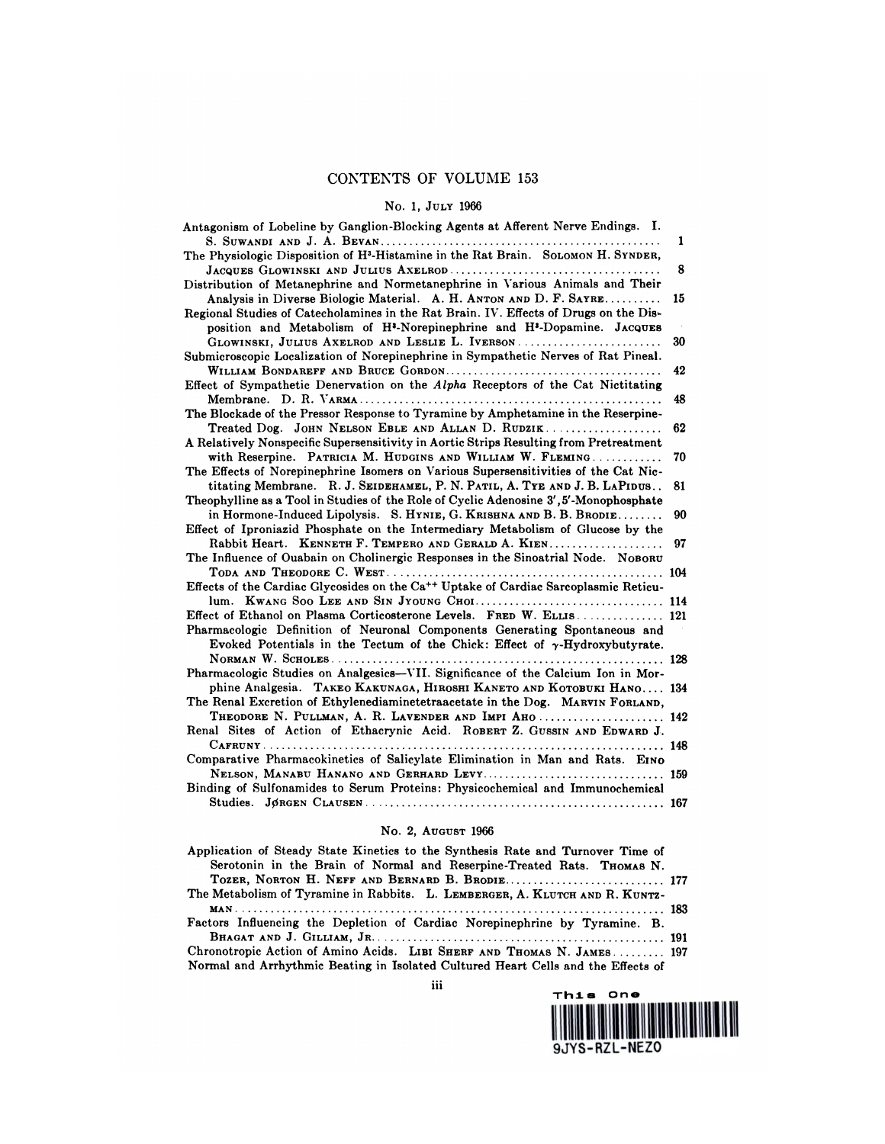| CONTENTS OF VOLUME 153                                                                                                                                                                                                                                         |          |
|----------------------------------------------------------------------------------------------------------------------------------------------------------------------------------------------------------------------------------------------------------------|----------|
| No. 1, JULY 1966                                                                                                                                                                                                                                               |          |
| Antagonism of Lobeline by Ganglion-Blocking Agents at Afferent Nerve Endings. I.<br>The Physiologic Disposition of H <sup>3</sup> -Histamine in the Rat Brain. SOLOMON H. SYNDER,                                                                              | 1        |
| Distribution of Metanephrine and Normetanephrine in Various Animals and Their                                                                                                                                                                                  | 8        |
| Analysis in Diverse Biologic Material. A. H. ANTON AND D. F. SAYRE<br>Regional Studies of Catecholamines in the Rat Brain. IV. Effects of Drugs on the Dis-<br>position and Metabolism of H <sup>3</sup> -Norepinephrine and H <sup>3</sup> -Dopamine. JACQUES | 15       |
| GLOWINSKI, JULIUS AXELROD AND LESLIE L. IVERSON<br>Submicroscopic Localization of Norepinephrine in Sympathetic Nerves of Rat Pineal.                                                                                                                          | 30       |
| Effect of Sympathetic Denervation on the Alpha Receptors of the Cat Nictitating                                                                                                                                                                                | 42       |
| The Blockade of the Pressor Response to Tyramine by Amphetamine in the Reserpine-<br>Treated Dog. JOHN NELSON EBLE AND ALLAN D. RUDZIK                                                                                                                         | 48<br>62 |
| A Relatively Nonspecific Supersensitivity in Aortic Strips Resulting from Pretreatment<br>with Reserpine. PATRICIA M. HUDGINS AND WILLIAM W. FLEMING                                                                                                           | 70       |
| The Effects of Norepinephrine Isomers on Various Supersensitivities of the Cat Nic-<br>titating Membrane. R. J. SEIDEHAMEL, P. N. PATIL, A. TYE AND J. B. LAPIDUS                                                                                              | 81       |
| Theophylline as a Tool in Studies of the Role of Cyclic Adenosine 3', 5'-Monophosphate<br>in Hormone-Induced Lipolysis. S. HYNIE, G. KRISHNA AND B. B. BRODIE                                                                                                  | 90       |
| Effect of Iproniazid Phosphate on the Intermediary Metabolism of Glucose by the<br>Rabbit Heart. KENNETH F. TEMPERO AND GERALD A. KIEN<br>The Influence of Ouabain on Cholinergic Responses in the Sinoatrial Node. NoBoRU                                     | 97       |
| Effects of the Cardiac Glycosides on the Ca <sup>++</sup> Uptake of Cardiac Sarcoplasmic Reticu-                                                                                                                                                               |          |
|                                                                                                                                                                                                                                                                |          |
| Effect of Ethanol on Plasma Corticosterone Levels. FRED W. ELLIS 121<br>Pharmacologic Definition of Neuronal Components Generating Spontaneous and<br>Evoked Potentials in the Tectum of the Chick: Effect of $\gamma$ -Hydroxybutyrate.                       |          |
| Pharmacologic Studies on Analgesics-VII. Significance of the Calcium Ion in Mor-                                                                                                                                                                               |          |
| phine Analgesia. TAKEO KAKUNAGA, HIROSHI KANETO AND KOTOBUKI HANO 134<br>The Renal Excretion of Ethylenediaminetetraacetate in the Dog. MARVIN FORLAND,                                                                                                        |          |
| THEODORE N. PULLMAN, A. R. LAVENDER AND IMPI AHO 142<br>Renal Sites of Action of Ethacrynic Acid. ROBERT Z. GUSSIN AND EDWARD J.                                                                                                                               |          |
| Comparative Pharmacokinetics of Salicylate Elimination in Man and Rats. EINO<br>NELSON, MANABU HANANO AND GERHARD LEVY 159                                                                                                                                     |          |
| Binding of Sulfonamides to Serum Proteins: Physicochemical and Immunochemical                                                                                                                                                                                  |          |
|                                                                                                                                                                                                                                                                |          |

# No. 2, **AUGUST** <sup>1966</sup>

| Dinding of Surfonamides to Serum Proteins: Physicochemical and Immunochemical                                                                                                                                                                                                                |  |
|----------------------------------------------------------------------------------------------------------------------------------------------------------------------------------------------------------------------------------------------------------------------------------------------|--|
| No. 2, August 1966                                                                                                                                                                                                                                                                           |  |
| Application of Steady State Kinetics to the Synthesis Rate and Turnover Time of<br>Serotonin in the Brain of Normal and Reserpine-Treated Rats. THOMAS N.<br>TOZER, NORTON H. NEFF AND BERNARD B. BRODIE 177<br>The Metabolism of Tyramine in Rabbits. L. LEMBERGER, A. KLUTCH AND R. KUNTZ- |  |
| Factors Influencing the Depletion of Cardiac Norepinephrine by Tyramine. B.<br>Chronotropic Action of Amino Acids. LIBI SHERF AND THOMAS N. JAMES 197<br>Normal and Arrhythmic Beating in Isolated Cultured Heart Cells and the Effects of                                                   |  |
| m                                                                                                                                                                                                                                                                                            |  |

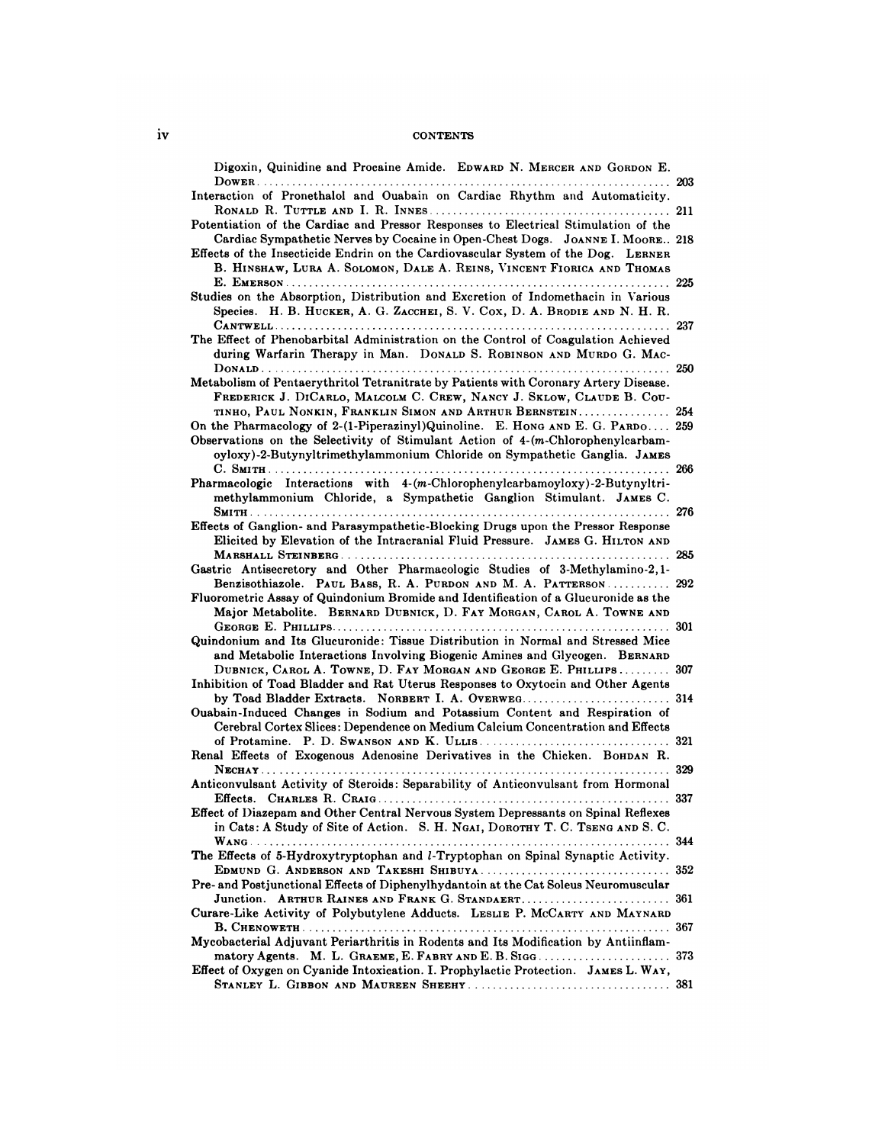| Digoxin, Quinidine and Procaine Amide. EDWARD N. MERCER AND GORDON E.                                                                                                                                                                                                                                         |                                                                                     |
|---------------------------------------------------------------------------------------------------------------------------------------------------------------------------------------------------------------------------------------------------------------------------------------------------------------|-------------------------------------------------------------------------------------|
|                                                                                                                                                                                                                                                                                                               |                                                                                     |
| Interaction of Pronethalol and Ouabain on Cardiac Rhythm and Automaticity.                                                                                                                                                                                                                                    |                                                                                     |
| Potentiation of the Cardiac and Pressor Responses to Electrical Stimulation of the<br>Cardiac Sympathetic Nerves by Cocaine in Open-Chest Dogs. JOANNE I. MOORE 218                                                                                                                                           |                                                                                     |
| Effects of the Insecticide Endrin on the Cardiovascular System of the Dog. LERNER<br>B. HINSHAW, LURA A. SOLOMON, DALE A. REINS, VINCENT FIORICA AND THOMAS                                                                                                                                                   |                                                                                     |
| Studies on the Absorption, Distribution and Excretion of Indomethacin in Various<br>Species. H. B. HUCKER, A. G. ZACCHEI, S. V. COX, D. A. BRODIE AND N. H. R.                                                                                                                                                |                                                                                     |
| The Effect of Phenobarbital Administration on the Control of Coagulation Achieved<br>during Warfarin Therapy in Man. DONALD S. ROBINSON AND MURDO G. MAC-                                                                                                                                                     |                                                                                     |
| Metabolism of Pentaerythritol Tetranitrate by Patients with Coronary Artery Disease.<br>FREDERICK J. DICARLO, MALCOLM C. CREW, NANCY J. SKLOW, CLAUDE B. COU-                                                                                                                                                 |                                                                                     |
| TINHO, PAUL NONKIN, FRANKLIN SIMON AND ARTHUR BERNSTEIN 254<br>On the Pharmacology of 2-(1-Piperazinyl)Quinoline. E. Hong AND E. G. PARDO 259<br>Observations on the Selectivity of Stimulant Action of 4-(m-Chlorophenylcarbam-<br>oyloxy)-2-Butynyltrimethylammonium Chloride on Sympathetic Ganglia. JAMES |                                                                                     |
| Pharmacologic Interactions with 4-(m-Chlorophenylcarbamoyloxy)-2-Butynyltri-<br>methylammonium Chloride, a Sympathetic Ganglion Stimulant. JAMES C.                                                                                                                                                           |                                                                                     |
|                                                                                                                                                                                                                                                                                                               |                                                                                     |
| Effects of Ganglion- and Parasympathetic-Blocking Drugs upon the Pressor Response<br>Elicited by Elevation of the Intracranial Fluid Pressure. JAMES G. HILTON AND                                                                                                                                            |                                                                                     |
| Gastric Antisecretory and Other Pharmacologic Studies of 3-Methylamino-2,1-<br>Benzisothiazole. PAUL BASS, R. A. PURDON AND M. A. PATTERSON  292                                                                                                                                                              |                                                                                     |
| Fluorometric Assay of Quindonium Bromide and Identification of a Glucuronide as the<br>Major Metabolite. BERNARD DUBNICK, D. FAY MORGAN, CAROL A. TOWNE AND                                                                                                                                                   |                                                                                     |
| Quindonium and Its Glucuronide: Tissue Distribution in Normal and Stressed Mice<br>and Metabolic Interactions Involving Biogenic Amines and Glycogen. BERNARD<br>DUBNICK, CAROL A. TOWNE, D. FAY MORGAN AND GEORGE E. PHILLIPS 307                                                                            |                                                                                     |
| Inhibition of Toad Bladder and Rat Uterus Responses to Oxytocin and Other Agents                                                                                                                                                                                                                              |                                                                                     |
| Ouabain-Induced Changes in Sodium and Potassium Content and Respiration of<br>Cerebral Cortex Slices: Dependence on Medium Calcium Concentration and Effects                                                                                                                                                  |                                                                                     |
| Renal Effects of Exogenous Adenosine Derivatives in the Chicken. BOHDAN R.                                                                                                                                                                                                                                    |                                                                                     |
| Anticonvulsant Activity of Steroids: Separability of Anticonvulsant from Hormonal                                                                                                                                                                                                                             |                                                                                     |
| Effect of Diazepam and Other Central Nervous System Depressants on Spinal Reflexes<br>in Cats: A Study of Site of Action. S. H. NGAI, DOROTHY T. C. TSENG AND S. C.                                                                                                                                           |                                                                                     |
| The Effects of 5-Hydroxytryptophan and l-Tryptophan on Spinal Synaptic Activity.                                                                                                                                                                                                                              |                                                                                     |
| Pre- and Postjunctional Effects of Diphenylhydantoin at the Cat Soleus Neuromuscular<br>Junction. ARTHUR RAINES AND FRANK G. STANDAERT 361                                                                                                                                                                    |                                                                                     |
| Curare-Like Activity of Polybutylene Adducts. LESLIE P. McCARTY AND MAYNARD                                                                                                                                                                                                                                   |                                                                                     |
| Mycobacterial Adjuvant Periarthritis in Rodents and Its Modification by Antiinflam-                                                                                                                                                                                                                           | Effect of Oxygen on Cyanide Intoxication. I. Prophylactic Protection. JAMES L. WAY, |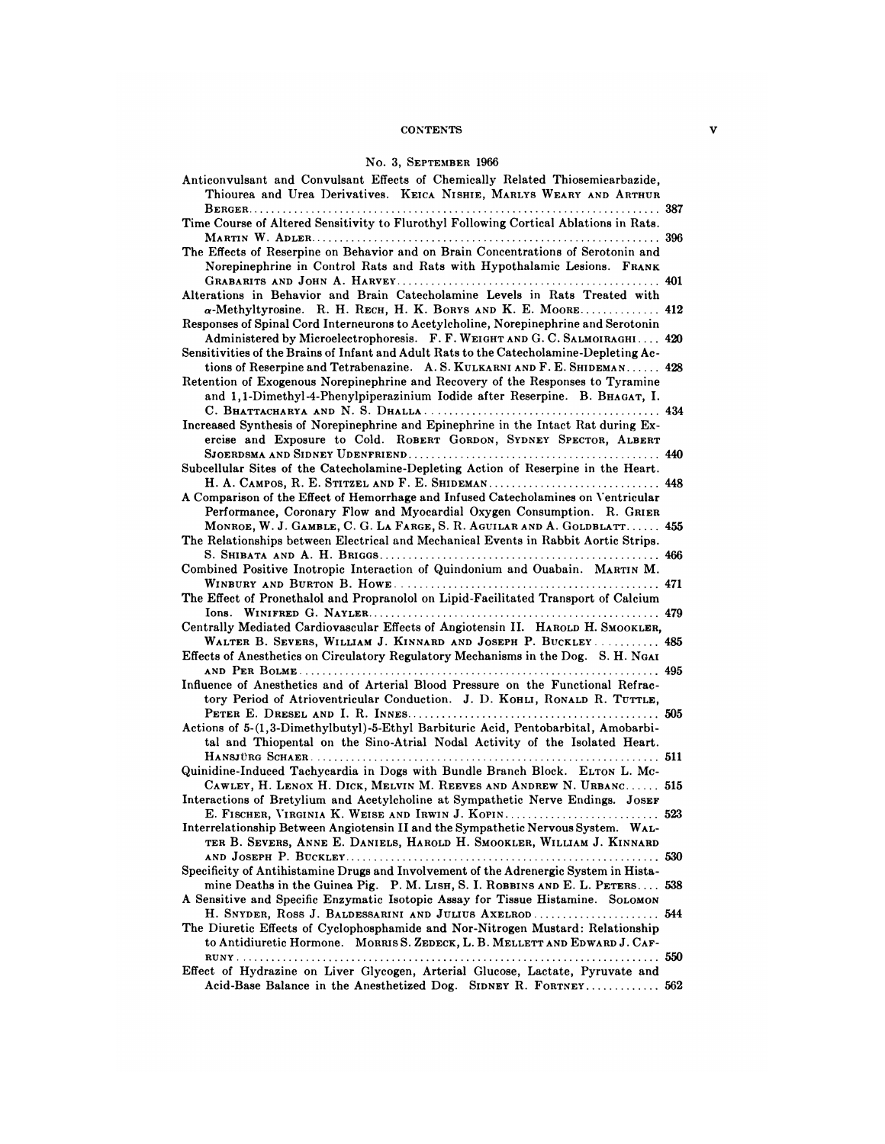| <b>CONTENTS</b>                                                                                                                                                      | v |
|----------------------------------------------------------------------------------------------------------------------------------------------------------------------|---|
| No. 3, SEPTEMBER 1966                                                                                                                                                |   |
| Anticonvulsant and Convulsant Effects of Chemically Related Thiosemicarbazide,                                                                                       |   |
| Thiourea and Urea Derivatives. KEICA NISHIE, MARLYS WEARY AND ARTHUR                                                                                                 |   |
|                                                                                                                                                                      |   |
| Time Course of Altered Sensitivity to Flurothyl Following Cortical Ablations in Rats.                                                                                |   |
|                                                                                                                                                                      |   |
| The Effects of Reserpine on Behavior and on Brain Concentrations of Serotonin and                                                                                    |   |
| Norepinephrine in Control Rats and Rats with Hypothalamic Lesions. FRANK                                                                                             |   |
|                                                                                                                                                                      |   |
| Alterations in Behavior and Brain Catecholamine Levels in Rats Treated with                                                                                          |   |
| $\alpha$ -Methyltyrosine. R. H. RECH, H. K. BORYS AND K. E. MOORE 412                                                                                                |   |
| Responses of Spinal Cord Interneurons to Acetylcholine, Norepinephrine and Serotonin<br>Administered by Microelectrophoresis. F. F. WEIGHT AND G. C. SALMOIRAGHI 420 |   |
| Sensitivities of the Brains of Infant and Adult Rats to the Catecholamine-Depleting Ac-                                                                              |   |
| tions of Reserpine and Tetrabenazine. A. S. KULKARNI AND F. E. SHIDEMAN 428                                                                                          |   |
| Retention of Exogenous Norepinephrine and Recovery of the Responses to Tyramine                                                                                      |   |
| and 1,1-Dimethyl-4-Phenylpiperazinium Iodide after Reserpine. B. BHAGAT, I.                                                                                          |   |
|                                                                                                                                                                      |   |
| Increased Synthesis of Norepinephrine and Epinephrine in the Intact Rat during Ex-                                                                                   |   |
| ercise and Exposure to Cold. ROBERT GORDON, SYDNEY SPECTOR, ALBERT                                                                                                   |   |
|                                                                                                                                                                      |   |
| Subcellular Sites of the Catecholamine-Depleting Action of Reserpine in the Heart.                                                                                   |   |
| H. A. CAMPOS, R. E. STITZEL AND F. E. SHIDEMAN 448                                                                                                                   |   |
| A Comparison of the Effect of Hemorrhage and Infused Catecholamines on Ventricular                                                                                   |   |
| Performance, Coronary Flow and Myocardial Oxygen Consumption. R. GRIER                                                                                               |   |
| MONROE, W. J. GAMBLE, C. G. LA FARGE, S. R. AGUILAR AND A. GOLDBLATT 455                                                                                             |   |
| The Relationships between Electrical and Mechanical Events in Rabbit Aortic Strips.                                                                                  |   |
| Combined Positive Inotropic Interaction of Quindonium and Ouabain. MARTIN M.                                                                                         |   |
|                                                                                                                                                                      |   |
| The Effect of Pronethalol and Propranolol on Lipid-Facilitated Transport of Calcium                                                                                  |   |
|                                                                                                                                                                      |   |
| Centrally Mediated Cardiovascular Effects of Angiotensin II. HAROLD H. SMOOKLER,                                                                                     |   |
| WALTER B. SEVERS, WILLIAM J. KINNARD AND JOSEPH P. BUCKLEY  485                                                                                                      |   |
| Effects of Anesthetics on Circulatory Regulatory Mechanisms in the Dog. S. H. NGAI                                                                                   |   |
|                                                                                                                                                                      |   |
| Influence of Anesthetics and of Arterial Blood Pressure on the Functional Refrac-                                                                                    |   |
| tory Period of Atrioventricular Conduction. J. D. KOHLI, RONALD R. TUTTLE,                                                                                           |   |
|                                                                                                                                                                      |   |
| Actions of 5-(1,3-Dimethylbutyl)-5-Ethyl Barbituric Acid, Pentobarbital, Amobarbi-                                                                                   |   |
| tal and Thiopental on the Sino-Atrial Nodal Activity of the Isolated Heart.                                                                                          |   |
| Quinidine-Induced Tachycardia in Dogs with Bundle Branch Block. ELTON L. Mc-                                                                                         |   |
| CAWLEY, H. LENOX H. DICK, MELVIN M. REEVES AND ANDREW N. URBANC 515                                                                                                  |   |
| Interactions of Bretylium and Acetylcholine at Sympathetic Nerve Endings. JOSEF                                                                                      |   |
| E. FISCHER, VIRGINIA K. WEISE AND IRWIN J. KOPIN 523                                                                                                                 |   |
| Interrelationship Between Angiotensin II and the Sympathetic Nervous System. WAL-                                                                                    |   |
| TER B. SEVERS, ANNE E. DANIELS, HAROLD H. SMOOKLER, WILLIAM J. KINNARD                                                                                               |   |
|                                                                                                                                                                      |   |
| Specificity of Antihistamine Drugs and Involvement of the Adrenergic System in Hista-                                                                                |   |
| mine Deaths in the Guinea Pig. P. M. LISH, S. I. ROBBINS AND E. L. PETERS 538                                                                                        |   |
| A Sensitive and Specific Enzymatic Isotopic Assay for Tissue Histamine. Solomon                                                                                      |   |
| H. SNYDER, ROSS J. BALDESSARINI AND JULIUS AXELROD 544                                                                                                               |   |
| The Diuretic Effects of Cyclophosphamide and Nor-Nitrogen Mustard: Relationship                                                                                      |   |
| to Antidiuretic Hormone. MORRIS S. ZEDECK, L. B. MELLETT AND EDWARD J. CAF-                                                                                          |   |
| Effect of Hydrazine on Liver Glycogen, Arterial Glucose, Lactate, Pyruvate and                                                                                       |   |
| Acid-Base Balance in the Anesthetized Dog. SIDNEY R. FORTNEY 562                                                                                                     |   |
|                                                                                                                                                                      |   |